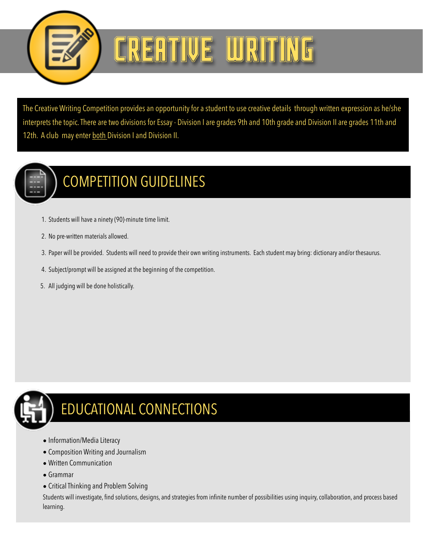

## CREATIVE WRIT

The Creative Writing Competition provides an opportunity for a student to use creative details through written expression as he/she interprets the topic. There are two divisions for Essay - Division I are grades 9th and 10th grade and Division II are grades 11th and 12th. A club may enter both Division I and Division II.



## COMPETITION GUIDELINES

- 1. Students will have a ninety (90)-minute time limit.
- 2. No pre-written materials allowed.
- 3. Paper will be provided. Students will need to provide their own writing instruments. Each student may bring: dictionary and/or thesaurus.
- 4. Subject/prompt will be assigned at the beginning of the competition.
- 5. All judging will be done holistically.



## EDUCATIONAL CONNECTIONS

- Information/Media Literacy
- Composition Writing and Journalism
- Written Communication
- Grammar
- Critical Thinking and Problem Solving

Students will investigate, find solutions, designs, and strategies from infinite number of possibilities using inquiry, collaboration, and process based learning.